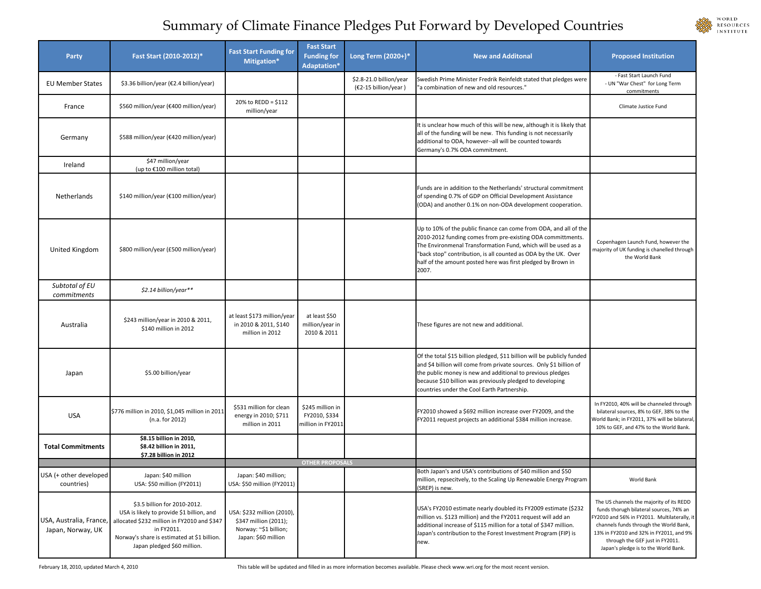## WORLD<br>RESOURCES **INSTITUTE**

## Summary of Climate Finance Pledges Put Forward by Developed Countries

| Party                                        | Fast Start (2010-2012)*                                                                                                                                                                                              | <b>Fast Start Funding for</b><br>Mitigation*                                                        | <b>Fast Start</b><br><b>Funding for</b><br>Adaptation* | Long Term (2020+)*                              | <b>New and Additonal</b>                                                                                                                                                                                                                                                                                                                      | <b>Proposed Institution</b>                                                                                                                                                                                                                                                                         |
|----------------------------------------------|----------------------------------------------------------------------------------------------------------------------------------------------------------------------------------------------------------------------|-----------------------------------------------------------------------------------------------------|--------------------------------------------------------|-------------------------------------------------|-----------------------------------------------------------------------------------------------------------------------------------------------------------------------------------------------------------------------------------------------------------------------------------------------------------------------------------------------|-----------------------------------------------------------------------------------------------------------------------------------------------------------------------------------------------------------------------------------------------------------------------------------------------------|
| <b>EU Member States</b>                      | \$3.36 billion/year (€2.4 billion/year)                                                                                                                                                                              |                                                                                                     |                                                        | \$2.8-21.0 billion/year<br>(€2-15 billion/year) | Swedish Prime Minister Fredrik Reinfeldt stated that pledges were<br>"a combination of new and old resources."                                                                                                                                                                                                                                | - Fast Start Launch Fund<br>- UN "War Chest" for Long Term<br>commitments                                                                                                                                                                                                                           |
| France                                       | \$560 million/year (€400 million/year)                                                                                                                                                                               | 20% to REDD = \$112<br>million/year                                                                 |                                                        |                                                 |                                                                                                                                                                                                                                                                                                                                               | Climate Justice Fund                                                                                                                                                                                                                                                                                |
| Germany                                      | \$588 million/year (€420 million/year)                                                                                                                                                                               |                                                                                                     |                                                        |                                                 | It is unclear how much of this will be new, although it is likely that<br>all of the funding will be new. This funding is not necessarily<br>additional to ODA, however--all will be counted towards<br>Germany's 0.7% ODA commitment.                                                                                                        |                                                                                                                                                                                                                                                                                                     |
| Ireland                                      | \$47 million/year<br>(up to €100 million total)                                                                                                                                                                      |                                                                                                     |                                                        |                                                 |                                                                                                                                                                                                                                                                                                                                               |                                                                                                                                                                                                                                                                                                     |
| Netherlands                                  | \$140 million/year (€100 million/year)                                                                                                                                                                               |                                                                                                     |                                                        |                                                 | Funds are in addition to the Netherlands' structural commitment<br>of spending 0.7% of GDP on Official Development Assistance<br>(ODA) and another 0.1% on non-ODA development cooperation.                                                                                                                                                   |                                                                                                                                                                                                                                                                                                     |
| United Kingdom                               | \$800 million/year (£500 million/year)                                                                                                                                                                               |                                                                                                     |                                                        |                                                 | Up to 10% of the public finance can come from ODA, and all of the<br>2010-2012 funding comes from pre-existing ODA committments.<br>The Environmenal Transformation Fund, which will be used as a<br>"back stop" contribution, is all counted as ODA by the UK. Over<br>half of the amount posted here was first pledged by Brown in<br>2007. | Copenhagen Launch Fund, however the<br>majority of UK funding is chanelled through<br>the World Bank                                                                                                                                                                                                |
| Subtotal of EU<br>commitments                | \$2.14 billion/year**                                                                                                                                                                                                |                                                                                                     |                                                        |                                                 |                                                                                                                                                                                                                                                                                                                                               |                                                                                                                                                                                                                                                                                                     |
| Australia                                    | \$243 million/year in 2010 & 2011,<br>\$140 million in 2012                                                                                                                                                          | at least \$173 million/year<br>in 2010 & 2011, \$140<br>million in 2012                             | at least \$50<br>million/year in<br>2010 & 2011        |                                                 | These figures are not new and additional.                                                                                                                                                                                                                                                                                                     |                                                                                                                                                                                                                                                                                                     |
| Japan                                        | \$5.00 billion/year                                                                                                                                                                                                  |                                                                                                     |                                                        |                                                 | Of the total \$15 billion pledged, \$11 billion will be publicly funded<br>and \$4 billion will come from private sources. Only \$1 billion of<br>the public money is new and additional to previous pledges<br>because \$10 billion was previously pledged to developing<br>countries under the Cool Earth Partnership.                      |                                                                                                                                                                                                                                                                                                     |
| <b>USA</b>                                   | \$776 million in 2010, \$1,045 million in 2011<br>(n.a. for 2012)                                                                                                                                                    | \$531 million for clean<br>energy in 2010; \$711<br>million in 2011                                 | \$245 million in<br>FY2010, \$334<br>million in FY2011 |                                                 | FY2010 showed a \$692 million increase over FY2009, and the<br>FY2011 request projects an additional \$384 million increase.                                                                                                                                                                                                                  | In FY2010, 40% will be channeled through<br>bilateral sources, 8% to GEF, 38% to the<br>World Bank; in FY2011, 37% will be bilateral,<br>10% to GEF, and 47% to the World Bank.                                                                                                                     |
| <b>Total Commitments</b>                     | \$8.15 billion in 2010,<br>\$8.42 billion in 2011,<br>\$7.28 billion in 2012                                                                                                                                         |                                                                                                     |                                                        |                                                 |                                                                                                                                                                                                                                                                                                                                               |                                                                                                                                                                                                                                                                                                     |
|                                              |                                                                                                                                                                                                                      |                                                                                                     | <b>OTHER PROPOSALS</b>                                 |                                                 |                                                                                                                                                                                                                                                                                                                                               |                                                                                                                                                                                                                                                                                                     |
| USA (+ other developed<br>countries)         | Japan: \$40 million<br>USA: \$50 million (FY2011)                                                                                                                                                                    | Japan: \$40 million;<br>USA: \$50 million (FY2011)                                                  |                                                        |                                                 | Both Japan's and USA's contributions of \$40 million and \$50<br>million, repsecitvely, to the Scaling Up Renewable Energy Program<br>(SREP) is new.                                                                                                                                                                                          | World Bank                                                                                                                                                                                                                                                                                          |
| USA, Australia, France,<br>Japan, Norway, UK | \$3.5 billion for 2010-2012.<br>USA is likely to provide \$1 billion, and<br>allocated \$232 million in FY2010 and \$347<br>in FY2011.<br>Norway's share is estimated at \$1 billion.<br>Japan pledged \$60 million. | USA: \$232 million (2010),<br>\$347 million (2011);<br>Norway: ~\$1 billion;<br>Japan: \$60 million |                                                        |                                                 | USA's FY2010 estimate nearly doubled its FY2009 estimate (\$232<br>million vs. \$123 million) and the FY2011 request will add an<br>additional increase of \$115 million for a total of \$347 million.<br>Japan's contribution to the Forest Investment Program (FIP) is<br>new.                                                              | The US channels the majority of its REDD<br>funds thorugh bilateral sources, 74% an<br>FY2010 and 56% in FY2011. Multilaterally, it<br>channels funds through the World Bank,<br>13% in FY2010 and 32% in FY2011, and 9%<br>through the GEF just in FY2011.<br>Japan's pledge is to the World Bank. |

February 18, 2010, updated March 4, 2010 This table will be updated and filled in as more information becomes available. Please check www.wri.org for the most recent version.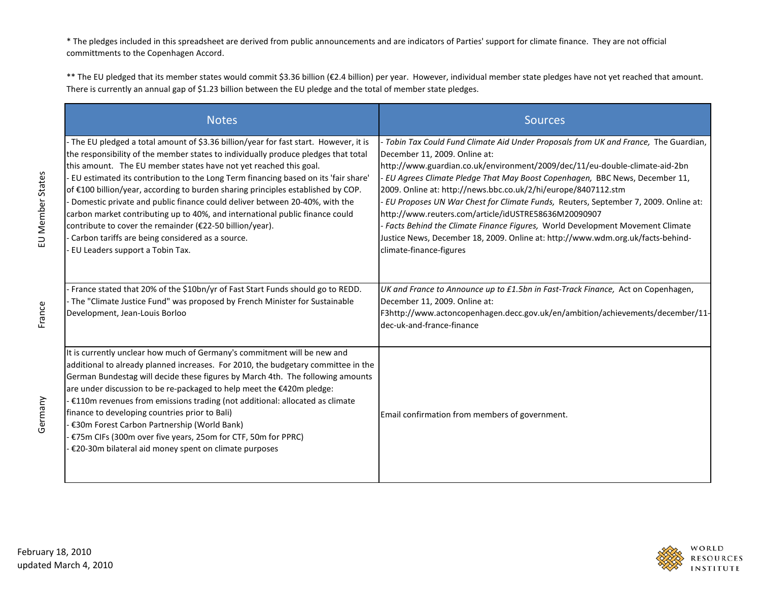\* The pledges included in this spreadsheet are derived from public announcements and are indicators of Parties' support for climate finance. They are not official committments to the Copenhagen Accord.

\*\* The EU pledged that its member states would commit \$3.36 billion (€2.4 billion) per year. However, individual member state pledges have not yet reached that amount. There is currently an annual gap of \$1.23 billion between the EU pledge and the total of member state pledges.

| <b>Notes</b>                                                                                                                                                                                                                                                                                                                                                                                                                                                                                                                                                                                                                                                                                                                                | <b>Sources</b>                                                                                                                                                                                                                                                                                                                                                                                                                                                                                                                                                                                                                                                                                 |
|---------------------------------------------------------------------------------------------------------------------------------------------------------------------------------------------------------------------------------------------------------------------------------------------------------------------------------------------------------------------------------------------------------------------------------------------------------------------------------------------------------------------------------------------------------------------------------------------------------------------------------------------------------------------------------------------------------------------------------------------|------------------------------------------------------------------------------------------------------------------------------------------------------------------------------------------------------------------------------------------------------------------------------------------------------------------------------------------------------------------------------------------------------------------------------------------------------------------------------------------------------------------------------------------------------------------------------------------------------------------------------------------------------------------------------------------------|
| - The EU pledged a total amount of \$3.36 billion/year for fast start. However, it is<br>the responsibility of the member states to individually produce pledges that total<br>this amount. The EU member states have not yet reached this goal.<br>EU estimated its contribution to the Long Term financing based on its 'fair share'<br>of €100 billion/year, according to burden sharing principles established by COP.<br>Domestic private and public finance could deliver between 20-40%, with the<br>carbon market contributing up to 40%, and international public finance could<br>contribute to cover the remainder (€22-50 billion/year).<br>Carbon tariffs are being considered as a source.<br>EU Leaders support a Tobin Tax. | Tobin Tax Could Fund Climate Aid Under Proposals from UK and France, The Guardian,<br>December 11, 2009. Online at:<br>http://www.guardian.co.uk/environment/2009/dec/11/eu-double-climate-aid-2bn<br>EU Agrees Climate Pledge That May Boost Copenhagen, BBC News, December 11,<br>2009. Online at: http://news.bbc.co.uk/2/hi/europe/8407112.stm<br>EU Proposes UN War Chest for Climate Funds, Reuters, September 7, 2009. Online at:<br>http://www.reuters.com/article/idUSTRE58636M20090907<br>Facts Behind the Climate Finance Figures, World Development Movement Climate<br>Justice News, December 18, 2009. Online at: http://www.wdm.org.uk/facts-behind-<br>climate-finance-figures |
| France stated that 20% of the \$10bn/yr of Fast Start Funds should go to REDD.<br>The "Climate Justice Fund" was proposed by French Minister for Sustainable<br>Development, Jean-Louis Borloo                                                                                                                                                                                                                                                                                                                                                                                                                                                                                                                                              | UK and France to Announce up to £1.5bn in Fast-Track Finance, Act on Copenhagen,<br>December 11, 2009. Online at:<br>F3http://www.actoncopenhagen.decc.gov.uk/en/ambition/achievements/december/11-<br>dec-uk-and-france-finance                                                                                                                                                                                                                                                                                                                                                                                                                                                               |
| It is currently unclear how much of Germany's commitment will be new and<br>additional to already planned increases. For 2010, the budgetary committee in the<br>German Bundestag will decide these figures by March 4th. The following amounts<br>are under discussion to be re-packaged to help meet the €420m pledge:<br>€110m revenues from emissions trading (not additional: allocated as climate<br>finance to developing countries prior to Bali)<br>€30m Forest Carbon Partnership (World Bank)<br>€75m CIFs (300m over five years, 25om for CTF, 50m for PPRC)<br>€20-30m bilateral aid money spent on climate purposes                                                                                                           | Email confirmation from members of government.                                                                                                                                                                                                                                                                                                                                                                                                                                                                                                                                                                                                                                                 |

Germany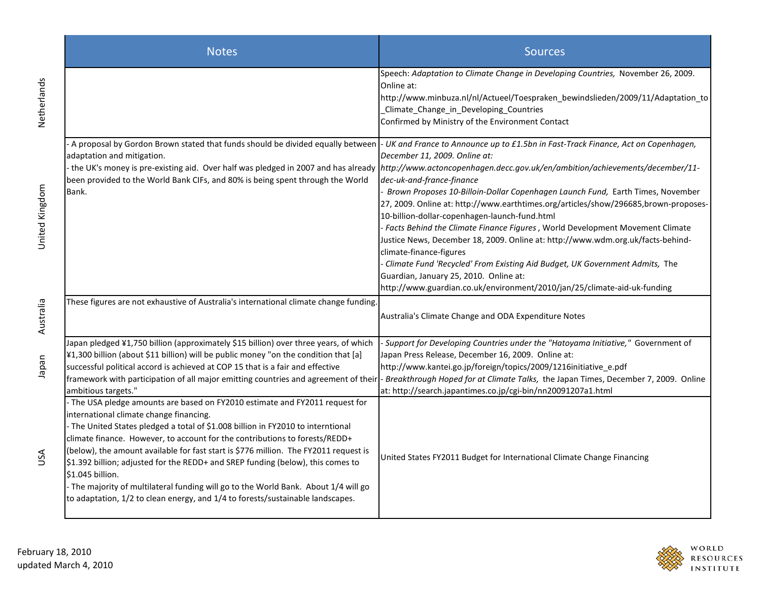|                | <b>Notes</b>                                                                                                                                                                                                                                                                                                                                                                                                                                                                                                                                                                                                                                                       | <b>Sources</b>                                                                                                                                                                                                                                                                                                                                                                                                                                                                                                                                                                                                                                                                                                                                                                                                                                                                                                                                    |
|----------------|--------------------------------------------------------------------------------------------------------------------------------------------------------------------------------------------------------------------------------------------------------------------------------------------------------------------------------------------------------------------------------------------------------------------------------------------------------------------------------------------------------------------------------------------------------------------------------------------------------------------------------------------------------------------|---------------------------------------------------------------------------------------------------------------------------------------------------------------------------------------------------------------------------------------------------------------------------------------------------------------------------------------------------------------------------------------------------------------------------------------------------------------------------------------------------------------------------------------------------------------------------------------------------------------------------------------------------------------------------------------------------------------------------------------------------------------------------------------------------------------------------------------------------------------------------------------------------------------------------------------------------|
| Netherlands    |                                                                                                                                                                                                                                                                                                                                                                                                                                                                                                                                                                                                                                                                    | Speech: Adaptation to Climate Change in Developing Countries, November 26, 2009.<br>Online at:<br>http://www.minbuza.nl/nl/Actueel/Toespraken_bewindslieden/2009/11/Adaptation_to<br>Climate_Change_in_Developing_Countries<br>Confirmed by Ministry of the Environment Contact                                                                                                                                                                                                                                                                                                                                                                                                                                                                                                                                                                                                                                                                   |
| United Kingdom | A proposal by Gordon Brown stated that funds should be divided equally between<br>adaptation and mitigation.<br>been provided to the World Bank CIFs, and 80% is being spent through the World<br>Bank.                                                                                                                                                                                                                                                                                                                                                                                                                                                            | - UK and France to Announce up to £1.5bn in Fast-Track Finance, Act on Copenhagen,<br>December 11, 2009. Online at:<br>the UK's money is pre-existing aid. Over half was pledged in 2007 and has already http://www.actoncopenhagen.decc.gov.uk/en/ambition/achievements/december/11-<br>dec-uk-and-france-finance<br>Brown Proposes 10-Billoin-Dollar Copenhagen Launch Fund, Earth Times, November<br>27, 2009. Online at: http://www.earthtimes.org/articles/show/296685,brown-proposes-<br>10-billion-dollar-copenhagen-launch-fund.html<br>- Facts Behind the Climate Finance Figures, World Development Movement Climate<br>Justice News, December 18, 2009. Online at: http://www.wdm.org.uk/facts-behind-<br>climate-finance-figures<br>Climate Fund 'Recycled' From Existing Aid Budget, UK Government Admits, The<br>Guardian, January 25, 2010. Online at:<br>http://www.guardian.co.uk/environment/2010/jan/25/climate-aid-uk-funding |
| Australia      | These figures are not exhaustive of Australia's international climate change funding.                                                                                                                                                                                                                                                                                                                                                                                                                                                                                                                                                                              | Australia's Climate Change and ODA Expenditure Notes                                                                                                                                                                                                                                                                                                                                                                                                                                                                                                                                                                                                                                                                                                                                                                                                                                                                                              |
| napap          | Japan pledged ¥1,750 billion (approximately \$15 billion) over three years, of which<br>¥1,300 billion (about \$11 billion) will be public money "on the condition that [a]<br>successful political accord is achieved at COP 15 that is a fair and effective<br>framework with participation of all major emitting countries and agreement of their<br>ambitious targets."                                                                                                                                                                                                                                                                                        | Support for Developing Countries under the "Hatoyama Initiative," Government of<br>Japan Press Release, December 16, 2009. Online at:<br>http://www.kantei.go.jp/foreign/topics/2009/1216initiative_e.pdf<br>Breakthrough Hoped for at Climate Talks, the Japan Times, December 7, 2009. Online<br>at: http://search.japantimes.co.jp/cgi-bin/nn20091207a1.html                                                                                                                                                                                                                                                                                                                                                                                                                                                                                                                                                                                   |
| USA            | - The USA pledge amounts are based on FY2010 estimate and FY2011 request for<br>international climate change financing.<br>- The United States pledged a total of \$1.008 billion in FY2010 to interntional<br>climate finance. However, to account for the contributions to forests/REDD+<br>(below), the amount available for fast start is \$776 million. The FY2011 request is<br>\$1.392 billion; adjusted for the REDD+ and SREP funding (below), this comes to<br>\$1.045 billion.<br>- The majority of multilateral funding will go to the World Bank. About 1/4 will go<br>to adaptation, 1/2 to clean energy, and 1/4 to forests/sustainable landscapes. | United States FY2011 Budget for International Climate Change Financing                                                                                                                                                                                                                                                                                                                                                                                                                                                                                                                                                                                                                                                                                                                                                                                                                                                                            |